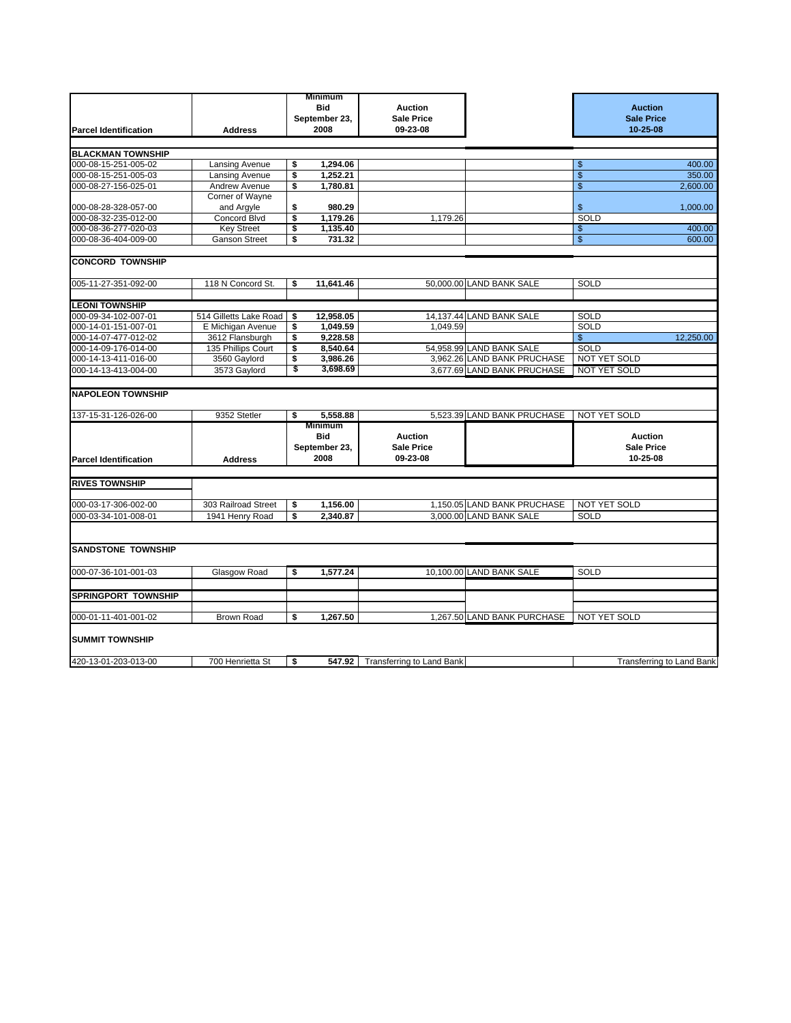|                              |                        |               | <b>Minimum</b> |                                  |                             |                          |                                  |
|------------------------------|------------------------|---------------|----------------|----------------------------------|-----------------------------|--------------------------|----------------------------------|
|                              |                        |               | Bid            | <b>Auction</b>                   |                             | <b>Auction</b>           |                                  |
|                              |                        |               |                |                                  |                             |                          |                                  |
|                              |                        | September 23, |                | <b>Sale Price</b>                |                             | <b>Sale Price</b>        |                                  |
| <b>Parcel Identification</b> | <b>Address</b>         |               | 2008           | 09-23-08                         |                             | 10-25-08                 |                                  |
|                              |                        |               |                |                                  |                             |                          |                                  |
| <b>BLACKMAN TOWNSHIP</b>     |                        |               |                |                                  |                             |                          |                                  |
| 000-08-15-251-005-02         | Lansing Avenue         | \$            | 1.294.06       |                                  |                             | \$                       | 400.00                           |
| 000-08-15-251-005-03         | Lansing Avenue         | \$            | 1,252.21       |                                  |                             | $\overline{\mathcal{S}}$ | 350.00                           |
| 000-08-27-156-025-01         | Andrew Avenue          | \$            | 1,780.81       |                                  |                             | \$                       | 2,600.00                         |
|                              | Corner of Wayne        |               |                |                                  |                             |                          |                                  |
| 000-08-28-328-057-00         | and Argyle             | \$            | 980.29         |                                  |                             | \$                       | 1,000.00                         |
| 000-08-32-235-012-00         | Concord Blvd           | s             | 1,179.26       | 1,179.26                         |                             | <b>SOLD</b>              |                                  |
| 000-08-36-277-020-03         | <b>Key Street</b>      | \$            | 1,135.40       |                                  |                             | \$                       | 400.00                           |
| 000-08-36-404-009-00         | <b>Ganson Street</b>   | \$            | 731.32         |                                  |                             | \$                       | 600.00                           |
|                              |                        |               |                |                                  |                             |                          |                                  |
| <b>CONCORD TOWNSHIP</b>      |                        |               |                |                                  |                             |                          |                                  |
| 005-11-27-351-092-00         | 118 N Concord St.      | \$            | 11,641.46      |                                  | 50,000.00 LAND BANK SALE    | <b>SOLD</b>              |                                  |
|                              |                        |               |                |                                  |                             |                          |                                  |
| <b>LEONI TOWNSHIP</b>        |                        |               |                |                                  |                             |                          |                                  |
| 000-09-34-102-007-01         | 514 Gilletts Lake Road | \$            | 12,958.05      |                                  | 14,137.44 LAND BANK SALE    | <b>SOLD</b>              |                                  |
| 000-14-01-151-007-01         | E Michigan Avenue      | \$            | 1,049.59       | 1.049.59                         |                             | <b>SOLD</b>              |                                  |
| 000-14-07-477-012-02         | 3612 Flansburgh        | \$            | 9,228.58       |                                  |                             | \$                       | 12,250.00                        |
| 000-14-09-176-014-00         | 135 Phillips Court     | \$            | 8,540.64       |                                  | 54,958.99 LAND BANK SALE    | <b>SOLD</b>              |                                  |
| 000-14-13-411-016-00         | 3560 Gaylord           | \$            | 3.986.26       |                                  | 3,962.26 LAND BANK PRUCHASE | NOT YET SOLD             |                                  |
| 000-14-13-413-004-00         | 3573 Gaylord           | \$            | 3.698.69       |                                  | 3.677.69 LAND BANK PRUCHASE | NOT YET SOLD             |                                  |
|                              |                        |               |                |                                  |                             |                          |                                  |
| <b>NAPOLEON TOWNSHIP</b>     |                        |               |                |                                  |                             |                          |                                  |
| 137-15-31-126-026-00         | 9352 Stetler           | \$            | 5,558.88       |                                  | 5,523.39 LAND BANK PRUCHASE | NOT YET SOLD             |                                  |
|                              |                        |               | <b>Minimum</b> |                                  |                             |                          |                                  |
|                              |                        |               | Bid            | <b>Auction</b>                   |                             | <b>Auction</b>           |                                  |
|                              |                        |               |                |                                  |                             |                          |                                  |
|                              |                        |               | September 23,  | <b>Sale Price</b>                |                             | Sale Price               |                                  |
| <b>Parcel Identification</b> | <b>Address</b>         |               | 2008           | 09-23-08                         |                             | 10-25-08                 |                                  |
| <b>RIVES TOWNSHIP</b>        |                        |               |                |                                  |                             |                          |                                  |
|                              |                        |               |                |                                  |                             |                          |                                  |
| 000-03-17-306-002-00         | 303 Railroad Street    | \$            | 1,156.00       |                                  | 1,150.05 LAND BANK PRUCHASE | NOT YET SOLD             |                                  |
| 000-03-34-101-008-01         | 1941 Henry Road        | \$            | 2.340.87       |                                  | 3.000.00 LAND BANK SALE     | <b>SOLD</b>              |                                  |
|                              |                        |               |                |                                  |                             |                          |                                  |
|                              |                        |               |                |                                  |                             |                          |                                  |
| <b>SANDSTONE TOWNSHIP</b>    |                        |               |                |                                  |                             |                          |                                  |
| 000-07-36-101-001-03         | Glasgow Road           | \$            | 1,577.24       |                                  | 10,100.00 LAND BANK SALE    | <b>SOLD</b>              |                                  |
|                              |                        |               |                |                                  |                             |                          |                                  |
| <b>SPRINGPORT TOWNSHIP</b>   |                        |               |                |                                  |                             |                          |                                  |
|                              |                        |               |                |                                  |                             |                          |                                  |
| 000-01-11-401-001-02         | <b>Brown Road</b>      | \$            | 1,267.50       |                                  | 1,267.50 LAND BANK PURCHASE | NOT YET SOLD             |                                  |
| <b>SUMMIT TOWNSHIP</b>       |                        |               |                |                                  |                             |                          |                                  |
|                              |                        |               |                |                                  |                             |                          |                                  |
| 420-13-01-203-013-00         | 700 Henrietta St       | \$            | 547.92         | <b>Transferring to Land Bank</b> |                             |                          | <b>Transferring to Land Bank</b> |